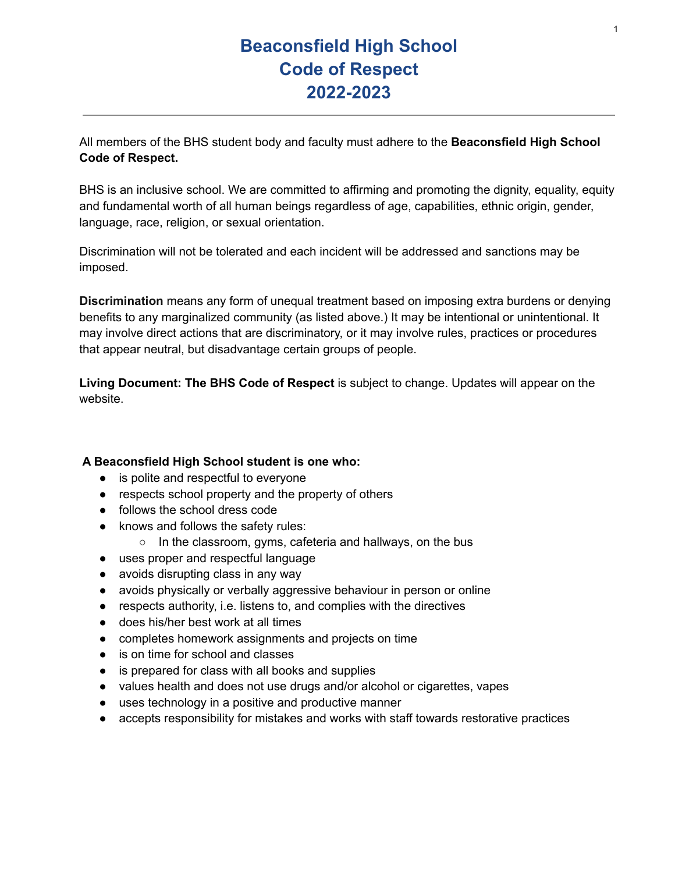# **Beaconsfield High School Code of Respect 2022-2023**

All members of the BHS student body and faculty must adhere to the **Beaconsfield High School Code of Respect.**

BHS is an inclusive school. We are committed to affirming and promoting the dignity, equality, equity and fundamental worth of all human beings regardless of age, capabilities, ethnic origin, gender, language, race, religion, or sexual orientation.

Discrimination will not be tolerated and each incident will be addressed and sanctions may be imposed.

**Discrimination** means any form of unequal treatment based on imposing extra burdens or denying benefits to any marginalized community (as listed above.) It may be intentional or unintentional. It may involve direct actions that are discriminatory, or it may involve rules, practices or procedures that appear neutral, but disadvantage certain groups of people.

**Living Document: The BHS Code of Respect** is subject to change. Updates will appear on the website.

#### **A Beaconsfield High School student is one who:**

- is polite and respectful to everyone
- respects school property and the property of others
- follows the school dress code
- knows and follows the safety rules:
	- In the classroom, gyms, cafeteria and hallways, on the bus
- uses proper and respectful language
- avoids disrupting class in any way
- avoids physically or verbally aggressive behaviour in person or online
- respects authority, i.e. listens to, and complies with the directives
- does his/her best work at all times
- completes homework assignments and projects on time
- is on time for school and classes
- is prepared for class with all books and supplies
- values health and does not use drugs and/or alcohol or cigarettes, vapes
- uses technology in a positive and productive manner
- accepts responsibility for mistakes and works with staff towards restorative practices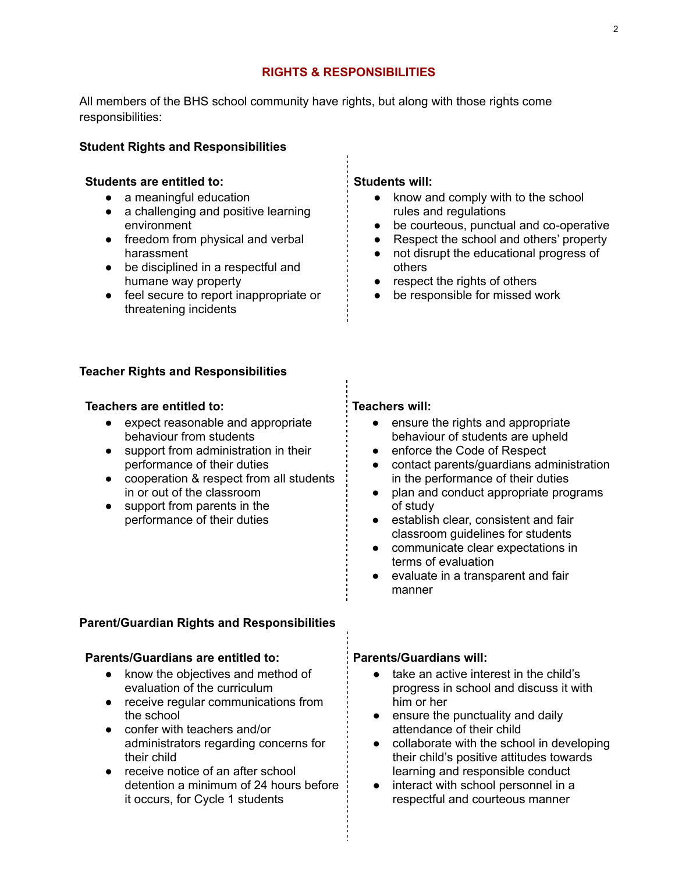#### **RIGHTS & RESPONSIBILITIES**

All members of the BHS school community have rights, but along with those rights come responsibilities:

#### **Student Rights and Responsibilities**

#### **Students are entitled to:**

- a meaningful education
- a challenging and positive learning environment
- freedom from physical and verbal harassment
- be disciplined in a respectful and humane way property
- feel secure to report inappropriate or threatening incidents

#### **Teacher Rights and Responsibilities**

#### **Teachers are entitled to:**

- expect reasonable and appropriate behaviour from students
- support from administration in their performance of their duties
- cooperation & respect from all students in or out of the classroom
- support from parents in the performance of their duties

#### **Students will:**

- know and comply with to the school rules and regulations
- be courteous, punctual and co-operative
- Respect the school and others' property
- not disrupt the educational progress of others
- respect the rights of others
- be responsible for missed work

#### **Teachers will:**

- ensure the rights and appropriate behaviour of students are upheld
- enforce the Code of Respect
- contact parents/guardians administration in the performance of their duties
- plan and conduct appropriate programs of study
- establish clear, consistent and fair classroom guidelines for students
- communicate clear expectations in terms of evaluation
- evaluate in a transparent and fair manner

#### **Parent/Guardian Rights and Responsibilities**

#### **Parents/Guardians are entitled to:**

- know the objectives and method of evaluation of the curriculum
- receive regular communications from the school
- confer with teachers and/or administrators regarding concerns for their child
- receive notice of an after school detention a minimum of 24 hours before it occurs, for Cycle 1 students

#### **Parents/Guardians will:**

- take an active interest in the child's progress in school and discuss it with him or her
- ensure the punctuality and daily attendance of their child
- collaborate with the school in developing their child's positive attitudes towards learning and responsible conduct
- interact with school personnel in a respectful and courteous manner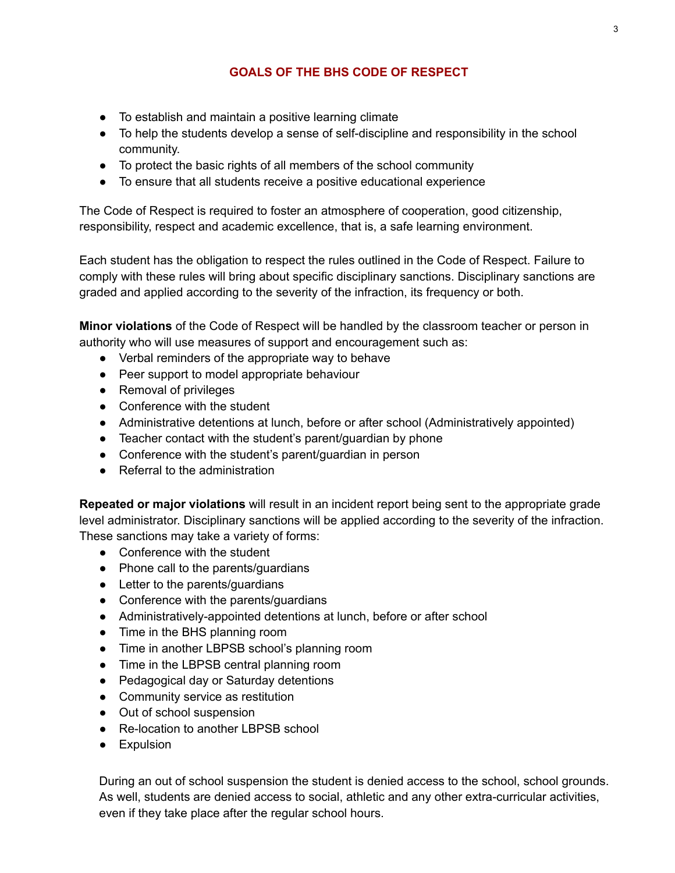# **GOALS OF THE BHS CODE OF RESPECT**

- To establish and maintain a positive learning climate
- To help the students develop a sense of self-discipline and responsibility in the school community.
- To protect the basic rights of all members of the school community
- To ensure that all students receive a positive educational experience

The Code of Respect is required to foster an atmosphere of cooperation, good citizenship, responsibility, respect and academic excellence, that is, a safe learning environment.

Each student has the obligation to respect the rules outlined in the Code of Respect. Failure to comply with these rules will bring about specific disciplinary sanctions. Disciplinary sanctions are graded and applied according to the severity of the infraction, its frequency or both.

**Minor violations** of the Code of Respect will be handled by the classroom teacher or person in authority who will use measures of support and encouragement such as:

- Verbal reminders of the appropriate way to behave
- Peer support to model appropriate behaviour
- Removal of privileges
- Conference with the student
- Administrative detentions at lunch, before or after school (Administratively appointed)
- Teacher contact with the student's parent/guardian by phone
- Conference with the student's parent/guardian in person
- Referral to the administration

**Repeated or major violations** will result in an incident report being sent to the appropriate grade level administrator. Disciplinary sanctions will be applied according to the severity of the infraction. These sanctions may take a variety of forms:

- Conference with the student
- Phone call to the parents/guardians
- Letter to the parents/guardians
- Conference with the parents/guardians
- Administratively-appointed detentions at lunch, before or after school
- Time in the BHS planning room
- Time in another LBPSB school's planning room
- Time in the LBPSB central planning room
- Pedagogical day or Saturday detentions
- Community service as restitution
- Out of school suspension
- Re-location to another LBPSB school
- **•** Expulsion

During an out of school suspension the student is denied access to the school, school grounds. As well, students are denied access to social, athletic and any other extra-curricular activities, even if they take place after the regular school hours.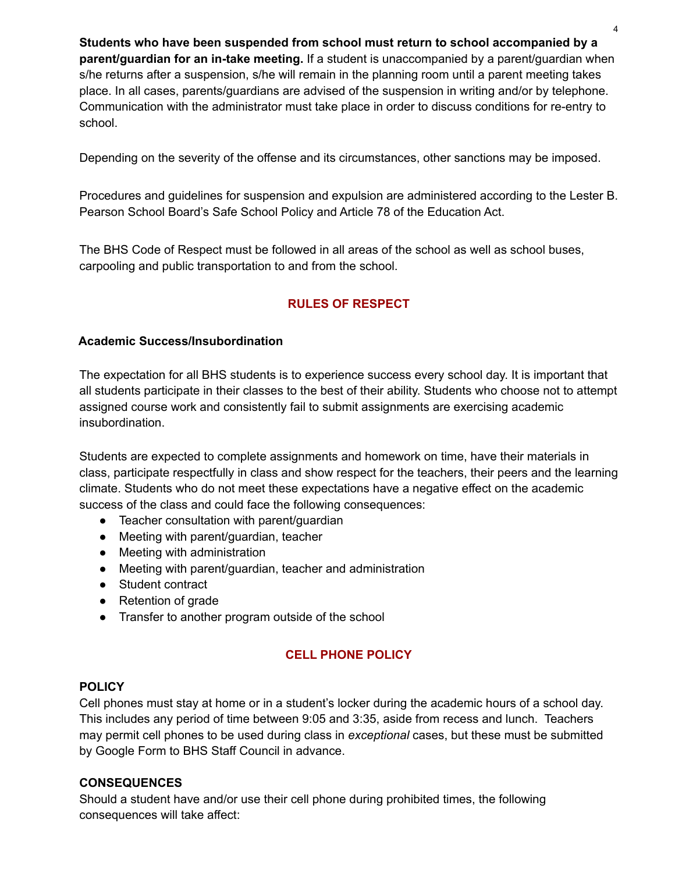**Students who have been suspended from school must return to school accompanied by a parent/guardian for an in-take meeting.** If a student is unaccompanied by a parent/guardian when s/he returns after a suspension, s/he will remain in the planning room until a parent meeting takes place. In all cases, parents/guardians are advised of the suspension in writing and/or by telephone. Communication with the administrator must take place in order to discuss conditions for re-entry to school.

Depending on the severity of the offense and its circumstances, other sanctions may be imposed.

Procedures and guidelines for suspension and expulsion are administered according to the Lester B. Pearson School Board's Safe School Policy and Article 78 of the Education Act.

The BHS Code of Respect must be followed in all areas of the school as well as school buses, carpooling and public transportation to and from the school.

# **RULES OF RESPECT**

#### **Academic Success/Insubordination**

The expectation for all BHS students is to experience success every school day. It is important that all students participate in their classes to the best of their ability. Students who choose not to attempt assigned course work and consistently fail to submit assignments are exercising academic insubordination.

Students are expected to complete assignments and homework on time, have their materials in class, participate respectfully in class and show respect for the teachers, their peers and the learning climate. Students who do not meet these expectations have a negative effect on the academic success of the class and could face the following consequences:

- Teacher consultation with parent/guardian
- Meeting with parent/guardian, teacher
- Meeting with administration
- Meeting with parent/guardian, teacher and administration
- Student contract
- Retention of grade
- Transfer to another program outside of the school

#### **CELL PHONE POLICY**

#### **POLICY**

Cell phones must stay at home or in a student's locker during the academic hours of a school day. This includes any period of time between 9:05 and 3:35, aside from recess and lunch. Teachers may permit cell phones to be used during class in *exceptional* cases, but these must be submitted by Google Form to BHS Staff Council in advance.

#### **CONSEQUENCES**

Should a student have and/or use their cell phone during prohibited times, the following consequences will take affect: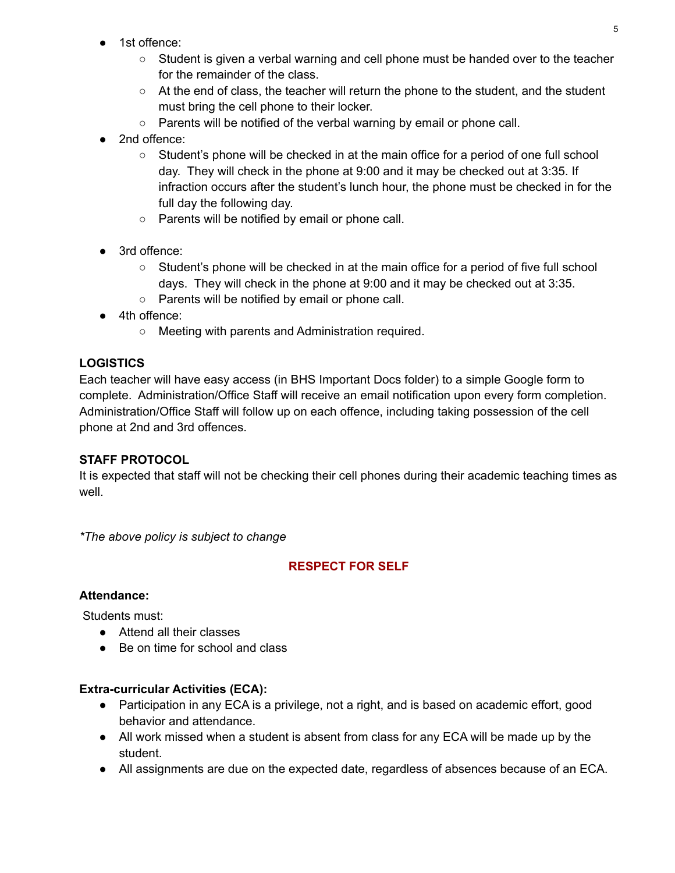- 1st offence:
	- Student is given a verbal warning and cell phone must be handed over to the teacher for the remainder of the class.
	- At the end of class, the teacher will return the phone to the student, and the student must bring the cell phone to their locker.
	- Parents will be notified of the verbal warning by email or phone call.
- 2nd offence:
	- Student's phone will be checked in at the main office for a period of one full school day. They will check in the phone at 9:00 and it may be checked out at 3:35. If infraction occurs after the student's lunch hour, the phone must be checked in for the full day the following day.
	- Parents will be notified by email or phone call.
- 3rd offence:
	- Student's phone will be checked in at the main office for a period of five full school days. They will check in the phone at 9:00 and it may be checked out at 3:35.
	- Parents will be notified by email or phone call.
- 4th offence:
	- Meeting with parents and Administration required.

# **LOGISTICS**

Each teacher will have easy access (in BHS Important Docs folder) to a simple Google form to complete. Administration/Office Staff will receive an email notification upon every form completion. Administration/Office Staff will follow up on each offence, including taking possession of the cell phone at 2nd and 3rd offences.

### **STAFF PROTOCOL**

It is expected that staff will not be checking their cell phones during their academic teaching times as well.

*\*The above policy is subject to change*

# **RESPECT FOR SELF**

#### **Attendance:**

Students must:

- Attend all their classes
- Be on time for school and class

### **Extra-curricular Activities (ECA):**

- Participation in any ECA is a privilege, not a right, and is based on academic effort, good behavior and attendance.
- All work missed when a student is absent from class for any ECA will be made up by the student.
- All assignments are due on the expected date, regardless of absences because of an ECA.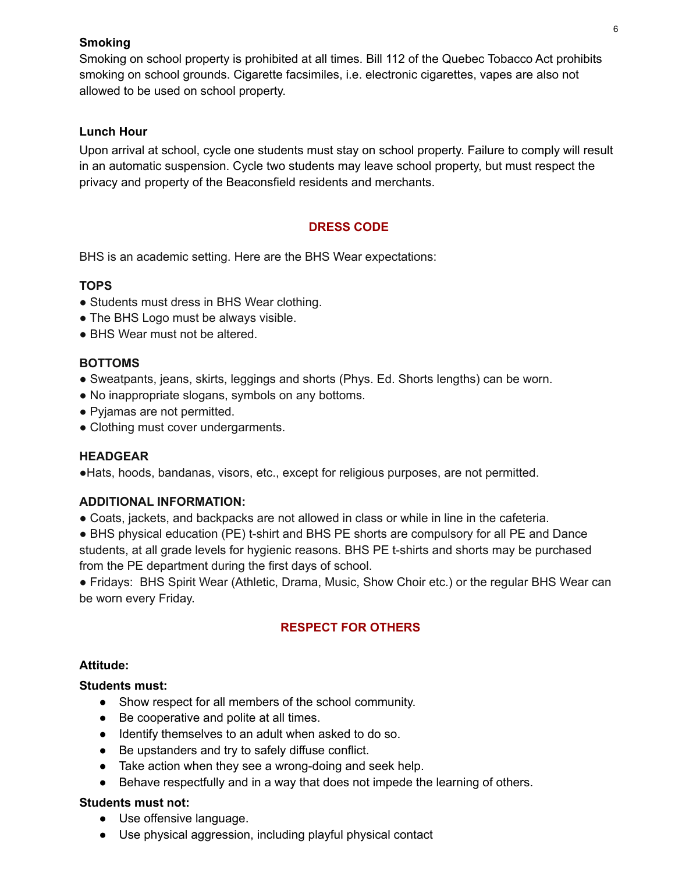#### **Smoking**

Smoking on school property is prohibited at all times. Bill 112 of the Quebec Tobacco Act prohibits smoking on school grounds. Cigarette facsimiles, i.e. electronic cigarettes, vapes are also not allowed to be used on school property.

### **Lunch Hour**

Upon arrival at school, cycle one students must stay on school property. Failure to comply will result in an automatic suspension. Cycle two students may leave school property, but must respect the privacy and property of the Beaconsfield residents and merchants.

# **DRESS CODE**

BHS is an academic setting. Here are the BHS Wear expectations:

# **TOPS**

- Students must dress in BHS Wear clothing.
- The BHS Logo must be always visible.
- BHS Wear must not be altered.

#### **BOTTOMS**

- Sweatpants, jeans, skirts, leggings and shorts (Phys. Ed. Shorts lengths) can be worn.
- No inappropriate slogans, symbols on any bottoms.
- Pyjamas are not permitted.
- Clothing must cover undergarments.

#### **HEADGEAR**

●Hats, hoods, bandanas, visors, etc., except for religious purposes, are not permitted.

#### **ADDITIONAL INFORMATION:**

- Coats, jackets, and backpacks are not allowed in class or while in line in the cafeteria.
- BHS physical education (PE) t-shirt and BHS PE shorts are compulsory for all PE and Dance students, at all grade levels for hygienic reasons. BHS PE t-shirts and shorts may be purchased from the PE department during the first days of school.

● Fridays: BHS Spirit Wear (Athletic, Drama, Music, Show Choir etc.) or the regular BHS Wear can be worn every Friday.

### **RESPECT FOR OTHERS**

#### **Attitude:**

#### **Students must:**

- Show respect for all members of the school community.
- Be cooperative and polite at all times.
- Identify themselves to an adult when asked to do so.
- Be upstanders and try to safely diffuse conflict.
- Take action when they see a wrong-doing and seek help.
- Behave respectfully and in a way that does not impede the learning of others.

#### **Students must not:**

- Use offensive language.
- Use physical aggression, including playful physical contact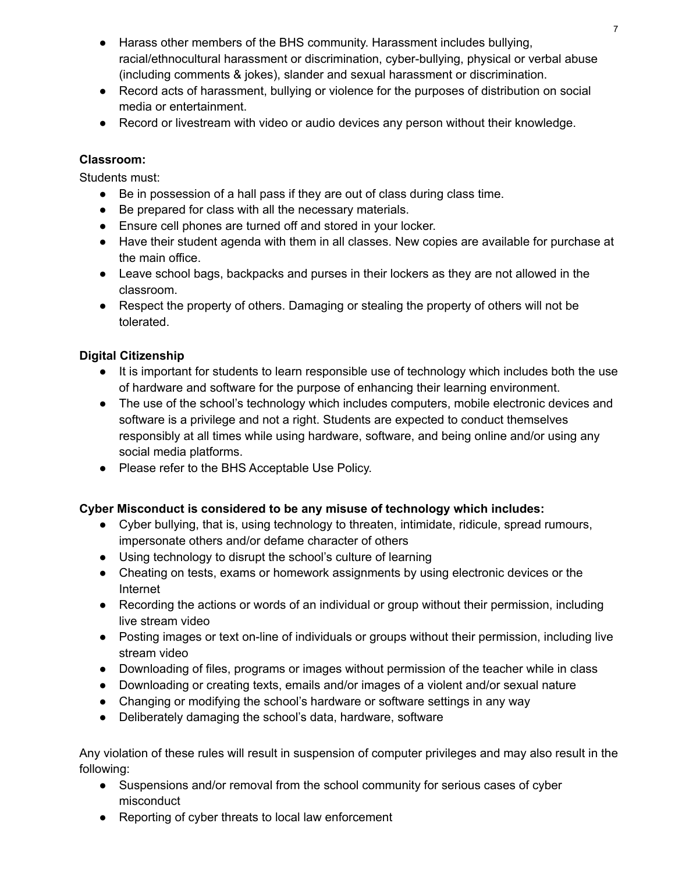- Harass other members of the BHS community. Harassment includes bullying, racial/ethnocultural harassment or discrimination, cyber-bullying, physical or verbal abuse (including comments & jokes), slander and sexual harassment or discrimination.
- Record acts of harassment, bullying or violence for the purposes of distribution on social media or entertainment.
- Record or livestream with video or audio devices any person without their knowledge.

# **Classroom:**

Students must:

- Be in possession of a hall pass if they are out of class during class time.
- Be prepared for class with all the necessary materials.
- Ensure cell phones are turned off and stored in your locker.
- Have their student agenda with them in all classes. New copies are available for purchase at the main office.
- Leave school bags, backpacks and purses in their lockers as they are not allowed in the classroom.
- Respect the property of others. Damaging or stealing the property of others will not be tolerated.

# **Digital Citizenship**

- It is important for students to learn responsible use of technology which includes both the use of hardware and software for the purpose of enhancing their learning environment.
- The use of the school's technology which includes computers, mobile electronic devices and software is a privilege and not a right. Students are expected to conduct themselves responsibly at all times while using hardware, software, and being online and/or using any social media platforms.
- Please refer to the BHS Acceptable Use Policy.

# **Cyber Misconduct is considered to be any misuse of technology which includes:**

- Cyber bullying, that is, using technology to threaten, intimidate, ridicule, spread rumours, impersonate others and/or defame character of others
- Using technology to disrupt the school's culture of learning
- Cheating on tests, exams or homework assignments by using electronic devices or the Internet
- Recording the actions or words of an individual or group without their permission, including live stream video
- Posting images or text on-line of individuals or groups without their permission, including live stream video
- Downloading of files, programs or images without permission of the teacher while in class
- Downloading or creating texts, emails and/or images of a violent and/or sexual nature
- Changing or modifying the school's hardware or software settings in any way
- Deliberately damaging the school's data, hardware, software

Any violation of these rules will result in suspension of computer privileges and may also result in the following:

- Suspensions and/or removal from the school community for serious cases of cyber misconduct
- Reporting of cyber threats to local law enforcement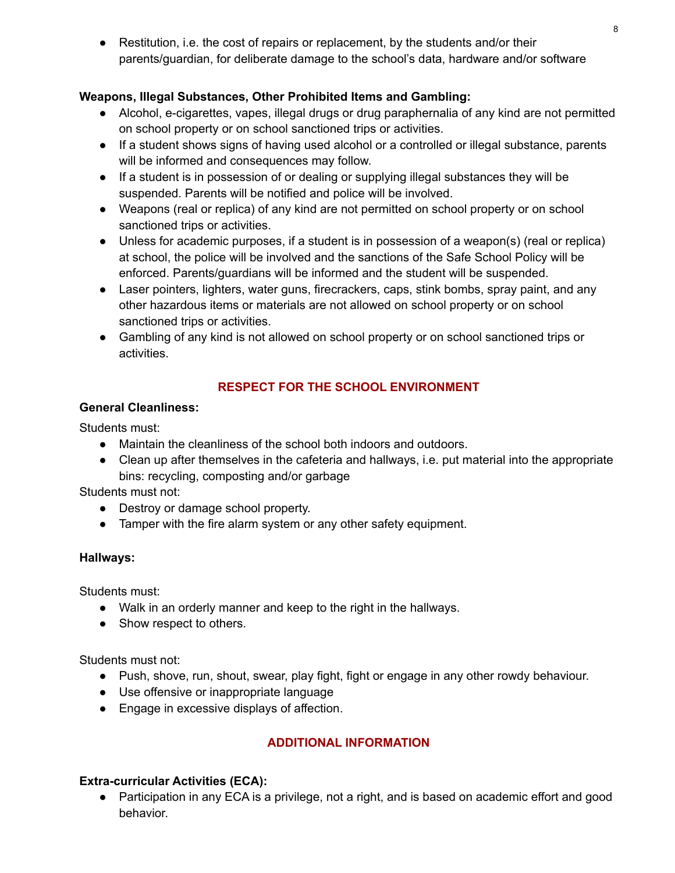• Restitution, i.e. the cost of repairs or replacement, by the students and/or their parents/guardian, for deliberate damage to the school's data, hardware and/or software

# **Weapons, Illegal Substances, Other Prohibited Items and Gambling:**

- Alcohol, e-cigarettes, vapes, illegal drugs or drug paraphernalia of any kind are not permitted on school property or on school sanctioned trips or activities.
- If a student shows signs of having used alcohol or a controlled or illegal substance, parents will be informed and consequences may follow.
- If a student is in possession of or dealing or supplying illegal substances they will be suspended. Parents will be notified and police will be involved.
- Weapons (real or replica) of any kind are not permitted on school property or on school sanctioned trips or activities.
- Unless for academic purposes, if a student is in possession of a weapon(s) (real or replica) at school, the police will be involved and the sanctions of the Safe School Policy will be enforced. Parents/guardians will be informed and the student will be suspended.
- Laser pointers, lighters, water guns, firecrackers, caps, stink bombs, spray paint, and any other hazardous items or materials are not allowed on school property or on school sanctioned trips or activities.
- Gambling of any kind is not allowed on school property or on school sanctioned trips or activities.

# **RESPECT FOR THE SCHOOL ENVIRONMENT**

### **General Cleanliness:**

Students must:

- Maintain the cleanliness of the school both indoors and outdoors.
- Clean up after themselves in the cafeteria and hallways, i.e. put material into the appropriate bins: recycling, composting and/or garbage

Students must not:

- Destroy or damage school property.
- Tamper with the fire alarm system or any other safety equipment.

# **Hallways:**

Students must:

- Walk in an orderly manner and keep to the right in the hallways.
- Show respect to others.

Students must not:

- Push, shove, run, shout, swear, play fight, fight or engage in any other rowdy behaviour.
- Use offensive or inappropriate language
- Engage in excessive displays of affection.

# **ADDITIONAL INFORMATION**

# **Extra-curricular Activities (ECA):**

● Participation in any ECA is a privilege, not a right, and is based on academic effort and good behavior.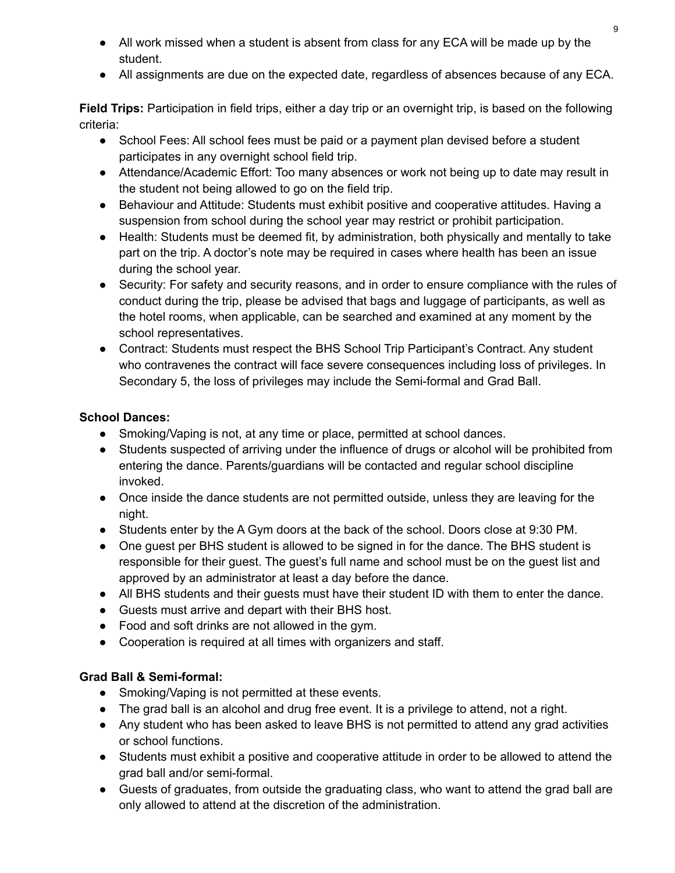- All work missed when a student is absent from class for any ECA will be made up by the student.
- All assignments are due on the expected date, regardless of absences because of any ECA.

**Field Trips:** Participation in field trips, either a day trip or an overnight trip, is based on the following criteria:

- School Fees: All school fees must be paid or a payment plan devised before a student participates in any overnight school field trip.
- Attendance/Academic Effort: Too many absences or work not being up to date may result in the student not being allowed to go on the field trip.
- Behaviour and Attitude: Students must exhibit positive and cooperative attitudes. Having a suspension from school during the school year may restrict or prohibit participation.
- Health: Students must be deemed fit, by administration, both physically and mentally to take part on the trip. A doctor's note may be required in cases where health has been an issue during the school year.
- Security: For safety and security reasons, and in order to ensure compliance with the rules of conduct during the trip, please be advised that bags and luggage of participants, as well as the hotel rooms, when applicable, can be searched and examined at any moment by the school representatives.
- Contract: Students must respect the BHS School Trip Participant's Contract. Any student who contravenes the contract will face severe consequences including loss of privileges. In Secondary 5, the loss of privileges may include the Semi-formal and Grad Ball.

# **School Dances:**

- Smoking/Vaping is not, at any time or place, permitted at school dances.
- Students suspected of arriving under the influence of drugs or alcohol will be prohibited from entering the dance. Parents/guardians will be contacted and regular school discipline invoked.
- Once inside the dance students are not permitted outside, unless they are leaving for the night.
- Students enter by the A Gym doors at the back of the school. Doors close at 9:30 PM.
- One guest per BHS student is allowed to be signed in for the dance. The BHS student is responsible for their guest. The guest's full name and school must be on the guest list and approved by an administrator at least a day before the dance.
- All BHS students and their guests must have their student ID with them to enter the dance.
- Guests must arrive and depart with their BHS host.
- Food and soft drinks are not allowed in the gym.
- Cooperation is required at all times with organizers and staff.

# **Grad Ball & Semi-formal:**

- Smoking/Vaping is not permitted at these events.
- The grad ball is an alcohol and drug free event. It is a privilege to attend, not a right.
- Any student who has been asked to leave BHS is not permitted to attend any grad activities or school functions.
- Students must exhibit a positive and cooperative attitude in order to be allowed to attend the grad ball and/or semi-formal.
- Guests of graduates, from outside the graduating class, who want to attend the grad ball are only allowed to attend at the discretion of the administration.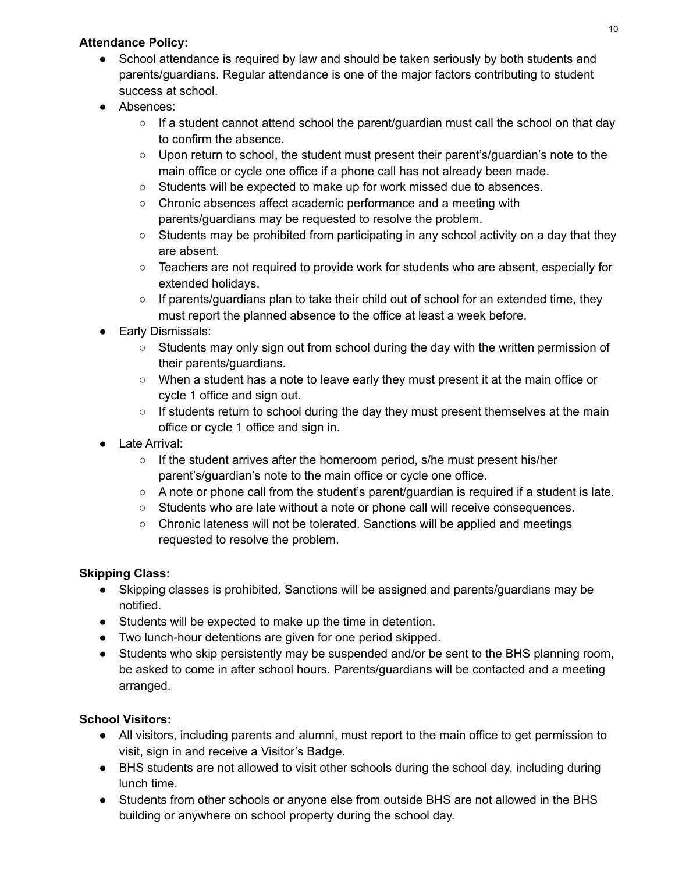# **Attendance Policy:**

- School attendance is required by law and should be taken seriously by both students and parents/guardians. Regular attendance is one of the major factors contributing to student success at school.
- Absences:
	- $\circ$  If a student cannot attend school the parent/guardian must call the school on that day to confirm the absence.
	- Upon return to school, the student must present their parent's/guardian's note to the main office or cycle one office if a phone call has not already been made.
	- Students will be expected to make up for work missed due to absences.
	- Chronic absences affect academic performance and a meeting with parents/guardians may be requested to resolve the problem.
	- $\circ$  Students may be prohibited from participating in any school activity on a day that they are absent.
	- Teachers are not required to provide work for students who are absent, especially for extended holidays.
	- $\circ$  If parents/guardians plan to take their child out of school for an extended time, they must report the planned absence to the office at least a week before.
- Early Dismissals:
	- $\circ$  Students may only sign out from school during the day with the written permission of their parents/guardians.
	- When a student has a note to leave early they must present it at the main office or cycle 1 office and sign out.
	- If students return to school during the day they must present themselves at the main office or cycle 1 office and sign in.
- Late Arrival:
	- If the student arrives after the homeroom period, s/he must present his/her parent's/guardian's note to the main office or cycle one office.
	- A note or phone call from the student's parent/guardian is required if a student is late.
	- Students who are late without a note or phone call will receive consequences.
	- Chronic lateness will not be tolerated. Sanctions will be applied and meetings requested to resolve the problem.

# **Skipping Class:**

- Skipping classes is prohibited. Sanctions will be assigned and parents/guardians may be notified.
- Students will be expected to make up the time in detention.
- Two lunch-hour detentions are given for one period skipped.
- Students who skip persistently may be suspended and/or be sent to the BHS planning room, be asked to come in after school hours. Parents/guardians will be contacted and a meeting arranged.

# **School Visitors:**

- All visitors, including parents and alumni, must report to the main office to get permission to visit, sign in and receive a Visitor's Badge.
- BHS students are not allowed to visit other schools during the school day, including during lunch time.
- Students from other schools or anyone else from outside BHS are not allowed in the BHS building or anywhere on school property during the school day.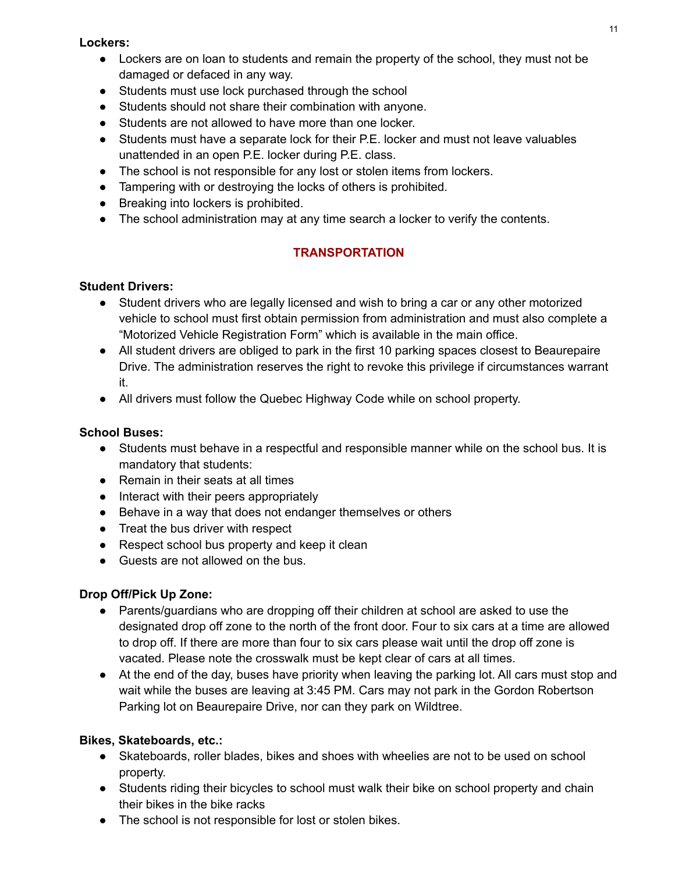#### **Lockers:**

- Lockers are on loan to students and remain the property of the school, they must not be damaged or defaced in any way.
- Students must use lock purchased through the school
- Students should not share their combination with anyone.
- Students are not allowed to have more than one locker.
- Students must have a separate lock for their P.E. locker and must not leave valuables unattended in an open P.E. locker during P.E. class.
- The school is not responsible for any lost or stolen items from lockers.
- Tampering with or destroying the locks of others is prohibited.
- Breaking into lockers is prohibited.
- The school administration may at any time search a locker to verify the contents.

# **TRANSPORTATION**

### **Student Drivers:**

- Student drivers who are legally licensed and wish to bring a car or any other motorized vehicle to school must first obtain permission from administration and must also complete a "Motorized Vehicle Registration Form" which is available in the main office.
- All student drivers are obliged to park in the first 10 parking spaces closest to Beaurepaire Drive. The administration reserves the right to revoke this privilege if circumstances warrant it.
- All drivers must follow the Quebec Highway Code while on school property.

# **School Buses:**

- Students must behave in a respectful and responsible manner while on the school bus. It is mandatory that students:
- Remain in their seats at all times
- Interact with their peers appropriately
- Behave in a way that does not endanger themselves or others
- Treat the bus driver with respect
- Respect school bus property and keep it clean
- Guests are not allowed on the bus.

### **Drop Off/Pick Up Zone:**

- Parents/guardians who are dropping off their children at school are asked to use the designated drop off zone to the north of the front door. Four to six cars at a time are allowed to drop off. If there are more than four to six cars please wait until the drop off zone is vacated. Please note the crosswalk must be kept clear of cars at all times.
- At the end of the day, buses have priority when leaving the parking lot. All cars must stop and wait while the buses are leaving at 3:45 PM. Cars may not park in the Gordon Robertson Parking lot on Beaurepaire Drive, nor can they park on Wildtree.

### **Bikes, Skateboards, etc.:**

- Skateboards, roller blades, bikes and shoes with wheelies are not to be used on school property.
- Students riding their bicycles to school must walk their bike on school property and chain their bikes in the bike racks
- The school is not responsible for lost or stolen bikes.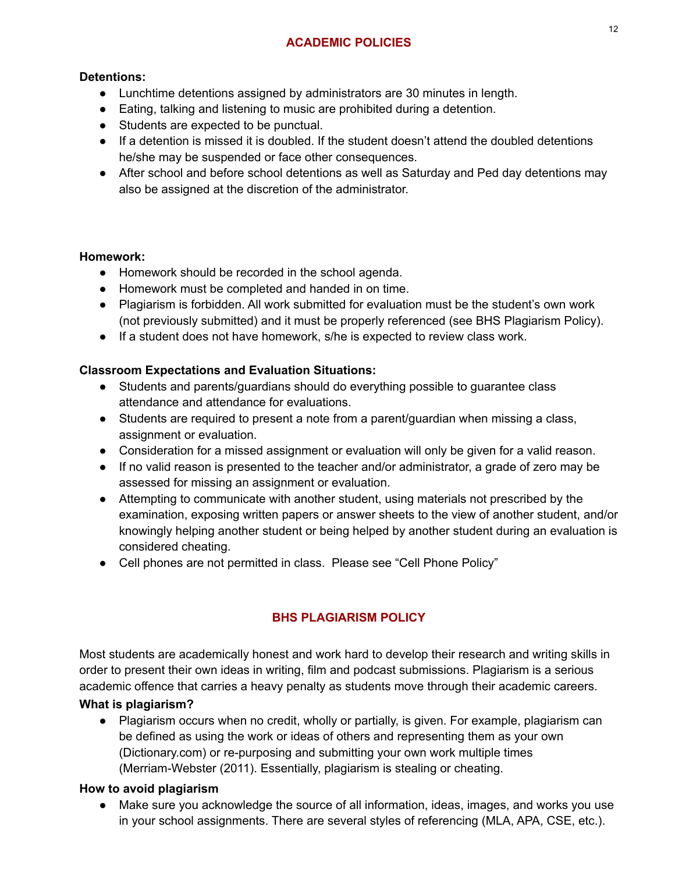# **ACADEMIC POLICIES**

### **Detentions:**

- Lunchtime detentions assigned by administrators are 30 minutes in length.
- Eating, talking and listening to music are prohibited during a detention.
- Students are expected to be punctual.
- If a detention is missed it is doubled. If the student doesn't attend the doubled detentions he/she may be suspended or face other consequences.
- After school and before school detentions as well as Saturday and Ped day detentions may also be assigned at the discretion of the administrator.

### **Homework:**

- Homework should be recorded in the school agenda.
- Homework must be completed and handed in on time.
- Plagiarism is forbidden. All work submitted for evaluation must be the student's own work (not previously submitted) and it must be properly referenced (see BHS Plagiarism Policy).
- If a student does not have homework, s/he is expected to review class work.

# **Classroom Expectations and Evaluation Situations:**

- Students and parents/guardians should do everything possible to guarantee class attendance and attendance for evaluations.
- Students are required to present a note from a parent/guardian when missing a class, assignment or evaluation.
- Consideration for a missed assignment or evaluation will only be given for a valid reason.
- If no valid reason is presented to the teacher and/or administrator, a grade of zero may be assessed for missing an assignment or evaluation.
- Attempting to communicate with another student, using materials not prescribed by the examination, exposing written papers or answer sheets to the view of another student, and/or knowingly helping another student or being helped by another student during an evaluation is considered cheating.
- Cell phones are not permitted in class. Please see "Cell Phone Policy"

# **BHS PLAGIARISM POLICY**

Most students are academically honest and work hard to develop their research and writing skills in order to present their own ideas in writing, film and podcast submissions. Plagiarism is a serious academic offence that carries a heavy penalty as students move through their academic careers.

### **What is plagiarism?**

• Plagiarism occurs when no credit, wholly or partially, is given. For example, plagiarism can be defined as using the work or ideas of others and representing them as your own (Dictionary.com) or re-purposing and submitting your own work multiple times (Merriam-Webster (2011). Essentially, plagiarism is stealing or cheating.

### **How to avoid plagiarism**

● Make sure you acknowledge the source of all information, ideas, images, and works you use in your school assignments. There are several styles of referencing (MLA, APA, CSE, etc.).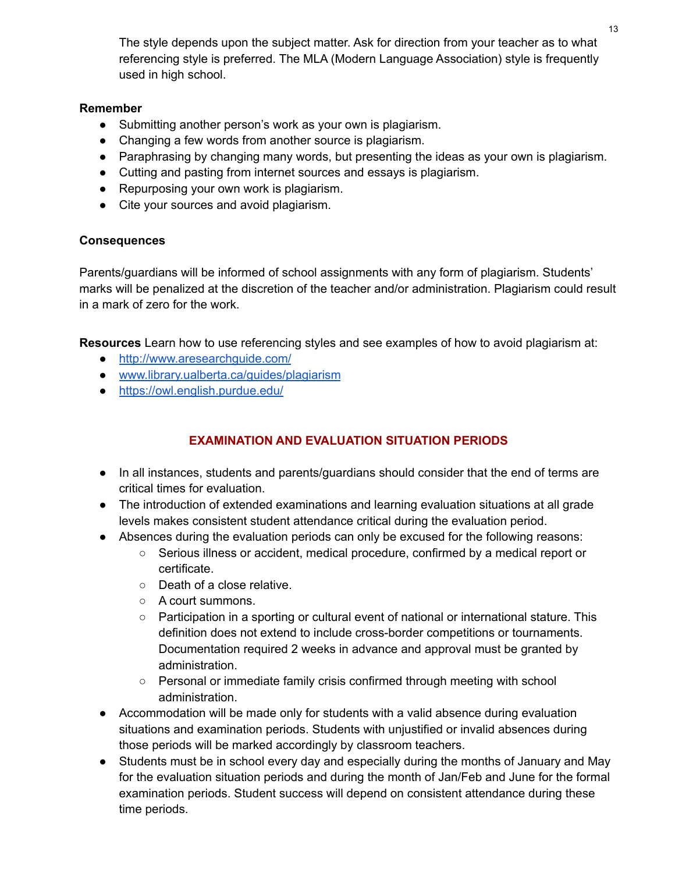The style depends upon the subject matter. Ask for direction from your teacher as to what referencing style is preferred. The MLA (Modern Language Association) style is frequently used in high school.

#### **Remember**

- Submitting another person's work as your own is plagiarism.
- Changing a few words from another source is plagiarism.
- Paraphrasing by changing many words, but presenting the ideas as your own is plagiarism.
- Cutting and pasting from internet sources and essays is plagiarism.
- Repurposing your own work is plagiarism.
- Cite your sources and avoid plagiarism.

#### **Consequences**

Parents/guardians will be informed of school assignments with any form of plagiarism. Students' marks will be penalized at the discretion of the teacher and/or administration. Plagiarism could result in a mark of zero for the work.

**Resources** Learn how to use referencing styles and see examples of how to avoid plagiarism at:

- <http://www.aresearchguide.com/>
- [www.library.ualberta.ca/guides/plagiarism](http://www.library.ualberta.ca/guides/plagiarism)
- <https://owl.english.purdue.edu/>

# **EXAMINATION AND EVALUATION SITUATION PERIODS**

- In all instances, students and parents/guardians should consider that the end of terms are critical times for evaluation.
- The introduction of extended examinations and learning evaluation situations at all grade levels makes consistent student attendance critical during the evaluation period.
- Absences during the evaluation periods can only be excused for the following reasons:
	- Serious illness or accident, medical procedure, confirmed by a medical report or certificate.
	- Death of a close relative.
	- A court summons.
	- Participation in a sporting or cultural event of national or international stature. This definition does not extend to include cross-border competitions or tournaments. Documentation required 2 weeks in advance and approval must be granted by administration.
	- Personal or immediate family crisis confirmed through meeting with school administration.
- Accommodation will be made only for students with a valid absence during evaluation situations and examination periods. Students with unjustified or invalid absences during those periods will be marked accordingly by classroom teachers.
- Students must be in school every day and especially during the months of January and May for the evaluation situation periods and during the month of Jan/Feb and June for the formal examination periods. Student success will depend on consistent attendance during these time periods.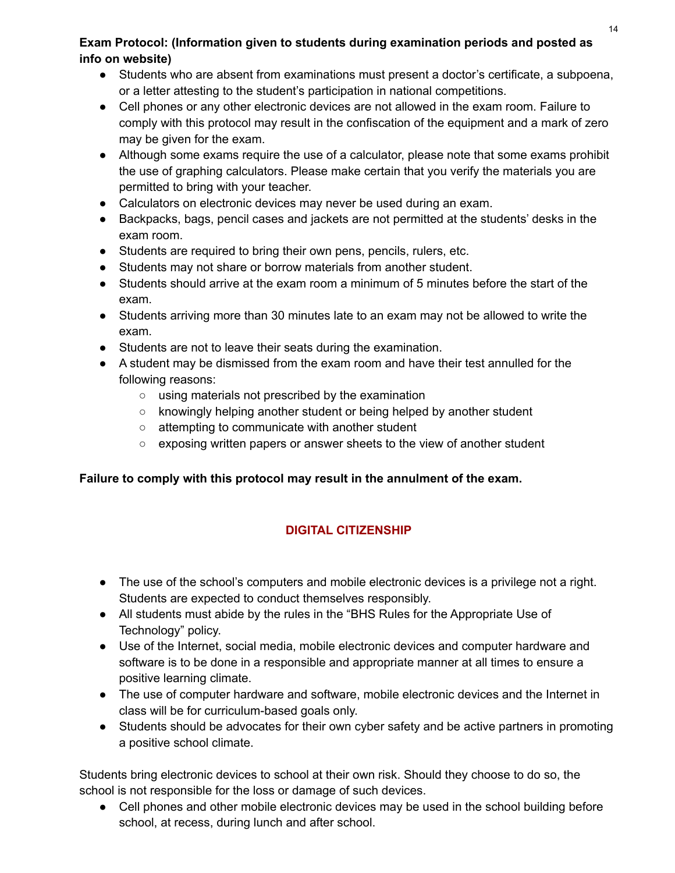#### 14

# **Exam Protocol: (Information given to students during examination periods and posted as info on website)**

- Students who are absent from examinations must present a doctor's certificate, a subpoena, or a letter attesting to the student's participation in national competitions.
- Cell phones or any other electronic devices are not allowed in the exam room. Failure to comply with this protocol may result in the confiscation of the equipment and a mark of zero may be given for the exam.
- Although some exams require the use of a calculator, please note that some exams prohibit the use of graphing calculators. Please make certain that you verify the materials you are permitted to bring with your teacher.
- Calculators on electronic devices may never be used during an exam.
- Backpacks, bags, pencil cases and jackets are not permitted at the students' desks in the exam room.
- Students are required to bring their own pens, pencils, rulers, etc.
- Students may not share or borrow materials from another student.
- Students should arrive at the exam room a minimum of 5 minutes before the start of the exam.
- Students arriving more than 30 minutes late to an exam may not be allowed to write the exam.
- Students are not to leave their seats during the examination.
- A student may be dismissed from the exam room and have their test annulled for the following reasons:
	- using materials not prescribed by the examination
	- knowingly helping another student or being helped by another student
	- attempting to communicate with another student
	- exposing written papers or answer sheets to the view of another student

# **Failure to comply with this protocol may result in the annulment of the exam.**

# **DIGITAL CITIZENSHIP**

- The use of the school's computers and mobile electronic devices is a privilege not a right. Students are expected to conduct themselves responsibly.
- All students must abide by the rules in the "BHS Rules for the Appropriate Use of Technology" policy.
- Use of the Internet, social media, mobile electronic devices and computer hardware and software is to be done in a responsible and appropriate manner at all times to ensure a positive learning climate.
- The use of computer hardware and software, mobile electronic devices and the Internet in class will be for curriculum-based goals only.
- Students should be advocates for their own cyber safety and be active partners in promoting a positive school climate.

Students bring electronic devices to school at their own risk. Should they choose to do so, the school is not responsible for the loss or damage of such devices.

● Cell phones and other mobile electronic devices may be used in the school building before school, at recess, during lunch and after school.